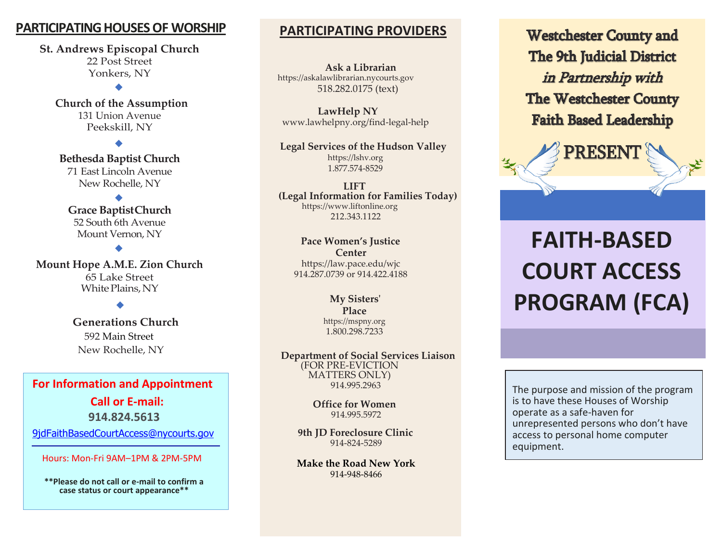## **PARTICIPATING HOUSES OF WORSHIP**

**St. Andrews Episcopal Church** 22 Post Street Yonkers, NY

**Church of the Assumption** 131 Union Avenue Peekskill, NY

◆

71 East Lincoln Avenue New Rochelle, NY **Bethesda Baptist Church**

◆

◆ **Grace BaptistChurch**  52 South 6th Avenue Mount Vernon, NY

◆

White Plains, NY **Mount Hope A.M.E. Zion Church** 65 Lake Street

> 10607 ◆

## **Generations Church**

 592 Main Street New Rochelle, NY

### **For Information and Appointment**

**Call or E-mail: 914.824.5613**

[9jdFaithBasedCourtAccess@nycourts.gov](mailto:9jdFaithBasedCourtAccess@nycourts.gov)

Hours: Mon-Fri 9AM–1PM & 2PM-5PM

**\*\*Please do not call or e-mail to confirm a case status or court appearance\*\***

## **PARTICIPATING PROVIDERS**

**Ask a Librarian** https://askalawlibrarian.nycourts.gov 518.282.0175 (text)

**LawHelp NY** [www.lawhelpny.org/find-legal-help](http://www.lawhelpny.org/find-legal-help)

**Legal Services of the Hudson Valley** https://lshv.org 1.877.574-8529

**LIFT (Legal Information for Families Today)** https:/[/www.liftonline.org](http://www.liftonline.org/) 212.343.1122

**Pace Women's Justice Center**  https://law.pace.edu/wjc 914.287.0739 or 914.422.4188

> **My Sisters' Place**  https://mspny.org [1.800.298.7233](https://mspny.org/)

**Department of Social Services Liaison** (FOR PRE-EVICTION MATTERS ONLY) 914.995.2963

> **Office for Women** 914.995.5972

**9th JD Foreclosure Clinic** 914-824-5289

**Make the Road New York** 914-948-8466

**Westchester County and The 9th Judicial District** in Partnership with **The Westchester County Faith Based Leadership** 

**PRESENT** 

## **FAITH-BASED COURT ACCESS PROGRAM (FCA)**

The purpose and mission of the program is to have these Houses of Worship operate as a safe-haven for unrepresented persons who don't have access to personal home computer equipment.